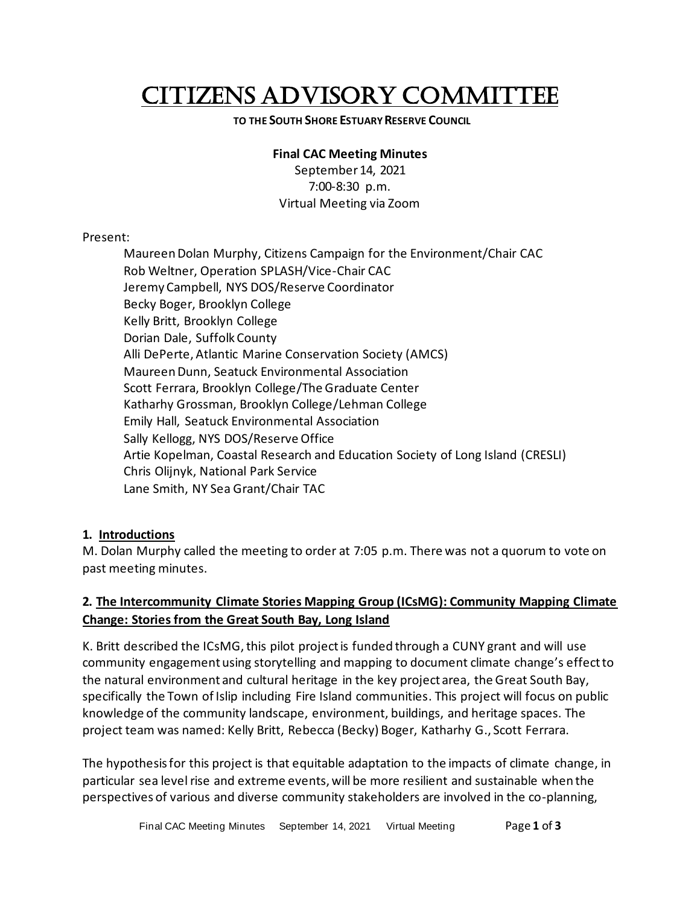# CITIZENS ADVISORY COMMITTEE

#### **TO THE SOUTH SHORE ESTUARY RESERVE COUNCIL**

#### **Final CAC Meeting Minutes**

September 14, 2021 7:00-8:30 p.m. Virtual Meeting via Zoom

#### Present:

Maureen Dolan Murphy, Citizens Campaign for the Environment/Chair CAC Rob Weltner, Operation SPLASH/Vice-Chair CAC Jeremy Campbell, NYS DOS/Reserve Coordinator Becky Boger, Brooklyn College Kelly Britt, Brooklyn College Dorian Dale, Suffolk County Alli DePerte, Atlantic Marine Conservation Society (AMCS) Maureen Dunn, Seatuck Environmental Association Scott Ferrara, Brooklyn College/The Graduate Center Katharhy Grossman, Brooklyn College/Lehman College Emily Hall, Seatuck Environmental Association Sally Kellogg, NYS DOS/Reserve Office Artie Kopelman, Coastal Research and Education Society of Long Island (CRESLI) Chris Olijnyk, National Park Service Lane Smith, NY Sea Grant/Chair TAC

## **1. Introductions**

M. Dolan Murphy called the meeting to order at 7:05 p.m. There was not a quorum to vote on past meeting minutes.

## **2. The Intercommunity Climate Stories Mapping Group (ICsMG): Community Mapping Climate Change: Stories from the Great South Bay, Long Island**

K. Britt described the ICsMG, this pilot project is funded through a CUNY grant and will use community engagement using storytelling and mapping to document climate change's effect to the natural environment and cultural heritage in the key project area, the Great South Bay, specifically the Town of Islip including Fire Island communities. This project will focus on public knowledge of the community landscape, environment, buildings, and heritage spaces. The project team was named: Kelly Britt, Rebecca (Becky) Boger, Katharhy G., Scott Ferrara.

The hypothesis for this project is that equitable adaptation to the impacts of climate change, in particular sea level rise and extreme events, will be more resilient and sustainable when the perspectives of various and diverse community stakeholders are involved in the co-planning,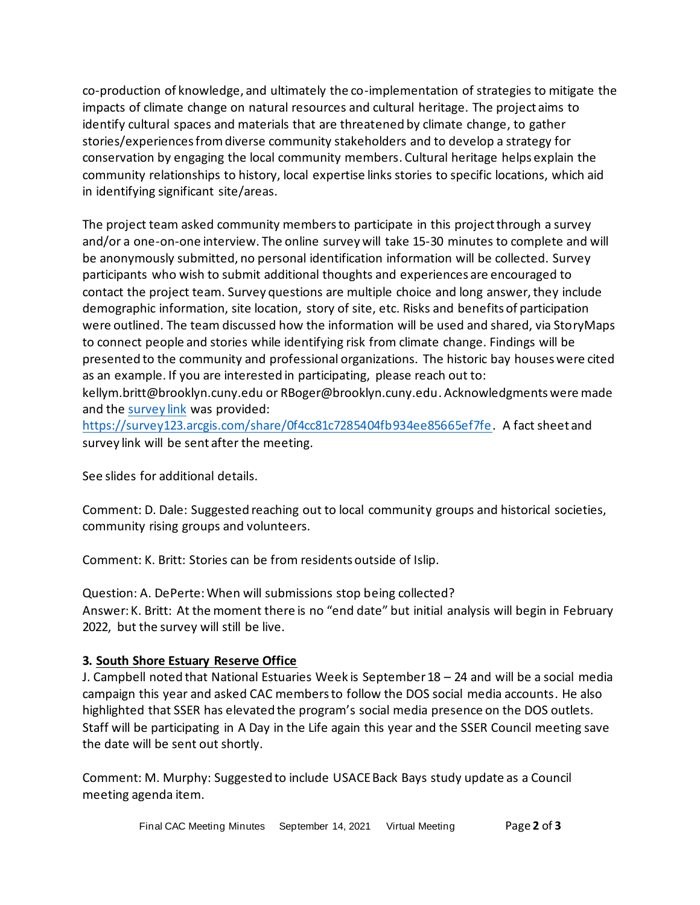co-production of knowledge, and ultimately the co-implementation of strategies to mitigate the impacts of climate change on natural resources and cultural heritage. The project aims to identify cultural spaces and materials that are threatened by climate change, to gather stories/experiences from diverse community stakeholders and to develop a strategy for conservation by engaging the local community members. Cultural heritage helps explain the community relationships to history, local expertise links stories to specific locations, which aid in identifying significant site/areas.

The project team asked community members to participate in this project through a survey and/or a one-on-one interview. The online survey will take 15-30 minutes to complete and will be anonymously submitted, no personal identification information will be collected. Survey participants who wish to submit additional thoughts and experiences are encouraged to contact the project team. Survey questions are multiple choice and long answer, they include demographic information, site location, story of site, etc. Risks and benefits of participation were outlined. The team discussed how the information will be used and shared, via StoryMaps to connect people and stories while identifying risk from climate change. Findings will be presented to the community and professional organizations. The historic bay houses were cited as an example. If you are interested in participating, please reach out to: kellym.britt@brooklyn.cuny.edu or RBoger@brooklyn.cuny.edu. Acknowledgments were made and the [survey link](https://survey123.arcgis.com/share/0f4cc81c7285404fb934ee85665ef7fe) was provided:

[https://survey123.arcgis.com/share/0f4cc81c7285404fb934ee85665ef7fe.](https://survey123.arcgis.com/share/0f4cc81c7285404fb934ee85665ef7fe) A fact sheet and survey link will be sent after the meeting.

See slides for additional details.

Comment: D. Dale: Suggested reaching out to local community groups and historical societies, community rising groups and volunteers.

Comment: K. Britt: Stories can be from residents outside of Islip.

Question: A. DePerte: When will submissions stop being collected? Answer: K. Britt: At the moment there is no "end date" but initial analysis will begin in February 2022, but the survey will still be live.

## **3. South Shore Estuary Reserve Office**

J. Campbell noted that National Estuaries Week is September 18 – 24 and will be a social media campaign this year and asked CAC members to follow the DOS social media accounts. He also highlighted that SSER has elevated the program's social media presence on the DOS outlets. Staff will be participating in A Day in the Life again this year and the SSER Council meeting save the date will be sent out shortly.

Comment: M. Murphy: Suggested to include USACE Back Bays study update as a Council meeting agenda item.